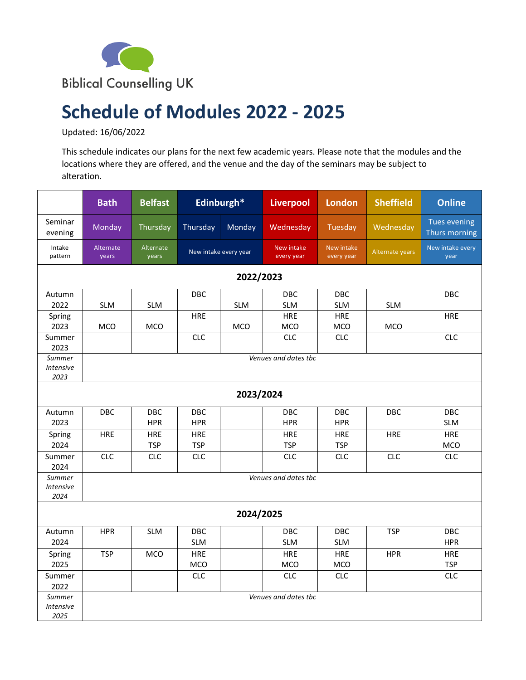

## **Schedule of Modules 2022 - 2025**

Updated: 16/06/2022

This schedule indicates our plans for the next few academic years. Please note that the modules and the locations where they are offered, and the venue and the day of the seminars may be subject to alteration.

|                                    | <b>Bath</b>          | <b>Belfast</b>           |                          | Edinburgh*            | <b>Liverpool</b>                | <b>London</b>            | <b>Sheffield</b> | <b>Online</b>                        |  |  |
|------------------------------------|----------------------|--------------------------|--------------------------|-----------------------|---------------------------------|--------------------------|------------------|--------------------------------------|--|--|
| Seminar<br>evening                 | Monday               | Thursday                 | Thursday                 | Monday                | Wednesday                       | Tuesday                  | Wednesday        | <b>Tues evening</b><br>Thurs morning |  |  |
| Intake<br>pattern                  | Alternate<br>years   | Alternate<br>years       |                          | New intake every year | <b>New intake</b><br>every year | New intake<br>every year | Alternate years  | New intake every<br>year             |  |  |
| 2022/2023                          |                      |                          |                          |                       |                                 |                          |                  |                                      |  |  |
| Autumn<br>2022                     | <b>SLM</b>           | <b>SLM</b>               | DBC                      | <b>SLM</b>            | <b>DBC</b><br><b>SLM</b>        | <b>DBC</b><br><b>SLM</b> | <b>SLM</b>       | <b>DBC</b>                           |  |  |
| Spring<br>2023                     | <b>MCO</b>           | <b>MCO</b>               | <b>HRE</b>               | MCO                   | HRE<br><b>MCO</b>               | <b>HRE</b><br>MCO        | <b>MCO</b>       | <b>HRE</b>                           |  |  |
| Summer<br>2023                     |                      |                          | <b>CLC</b>               |                       | <b>CLC</b>                      | <b>CLC</b>               |                  | <b>CLC</b>                           |  |  |
| Summer<br>Intensive<br>2023        | Venues and dates tbc |                          |                          |                       |                                 |                          |                  |                                      |  |  |
| 2023/2024                          |                      |                          |                          |                       |                                 |                          |                  |                                      |  |  |
| Autumn<br>2023                     | DBC                  | DBC<br><b>HPR</b>        | DBC<br><b>HPR</b>        |                       | DBC<br><b>HPR</b>               | DBC<br><b>HPR</b>        | <b>DBC</b>       | DBC<br><b>SLM</b>                    |  |  |
| Spring<br>2024                     | <b>HRE</b>           | <b>HRE</b><br><b>TSP</b> | <b>HRE</b><br><b>TSP</b> |                       | <b>HRE</b><br><b>TSP</b>        | <b>HRE</b><br><b>TSP</b> | HRE              | <b>HRE</b><br><b>MCO</b>             |  |  |
| Summer<br>2024                     | <b>CLC</b>           | <b>CLC</b>               | <b>CLC</b>               |                       | <b>CLC</b>                      | <b>CLC</b>               | <b>CLC</b>       | <b>CLC</b>                           |  |  |
| Summer<br><b>Intensive</b><br>2024 | Venues and dates tbc |                          |                          |                       |                                 |                          |                  |                                      |  |  |
| 2024/2025                          |                      |                          |                          |                       |                                 |                          |                  |                                      |  |  |
| Autumn<br>2024                     | <b>HPR</b>           | <b>SLM</b>               | DBC<br><b>SLM</b>        |                       | <b>DBC</b><br><b>SLM</b>        | <b>DBC</b><br><b>SLM</b> | <b>TSP</b>       | DBC<br><b>HPR</b>                    |  |  |
| Spring<br>2025                     | <b>TSP</b>           | <b>MCO</b>               | <b>HRE</b><br>MCO        |                       | <b>HRE</b><br><b>MCO</b>        | <b>HRE</b><br>MCO        | <b>HPR</b>       | <b>HRE</b><br><b>TSP</b>             |  |  |
| Summer<br>2022                     |                      |                          | <b>CLC</b>               |                       | <b>CLC</b>                      | <b>CLC</b>               |                  | <b>CLC</b>                           |  |  |
| Summer<br><b>Intensive</b><br>2025 |                      |                          |                          |                       | Venues and dates the            |                          |                  |                                      |  |  |